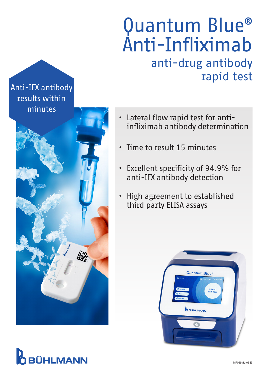## Quantum Blue® Anti-Infliximab anti-drug antibody rapid test

### Anti-IFX antibody results within minutes



#### • Lateral flow rapid test for antiinfliximab antibody determination

- Time to result 15 minutes
- Excellent specificity of 94.9% for anti-IFX antibody detection
- High agreement to established third party ELISA assays



# **BÜHLMANN**